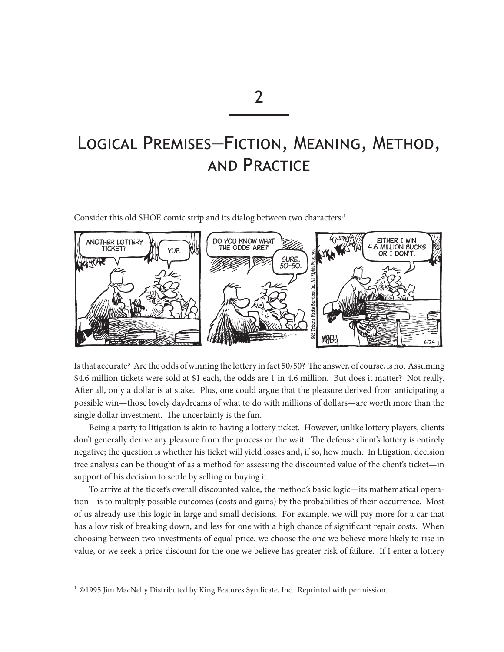# Logical Premises—Fiction, Meaning, Method, and Practice

Consider this old SHOE comic strip and its dialog between two characters:<sup>1</sup>



Is that accurate? Are the odds of winning the lottery in fact 50/50? The answer, of course, is no. Assuming \$4.6 million tickets were sold at \$1 each, the odds are 1 in 4.6 million. But does it matter? Not really. After all, only a dollar is at stake. Plus, one could argue that the pleasure derived from anticipating a possible win—those lovely daydreams of what to do with millions of dollars—are worth more than the single dollar investment. The uncertainty is the fun.

Being a party to litigation is akin to having a lottery ticket. However, unlike lottery players, clients don't generally derive any pleasure from the process or the wait. The defense client's lottery is entirely negative; the question is whether his ticket will yield losses and, if so, how much. In litigation, decision tree analysis can be thought of as a method for assessing the discounted value of the client's ticket—in support of his decision to settle by selling or buying it.

To arrive at the ticket's overall discounted value, the method's basic logic—its mathematical operation—is to multiply possible outcomes (costs and gains) by the probabilities of their occurrence. Most of us already use this logic in large and small decisions. For example, we will pay more for a car that has a low risk of breaking down, and less for one with a high chance of significant repair costs. When choosing between two investments of equal price, we choose the one we believe more likely to rise in value, or we seek a price discount for the one we believe has greater risk of failure. If I enter a lottery

 $1 \odot 1995$  Jim MacNelly Distributed by King Features Syndicate, Inc. Reprinted with permission.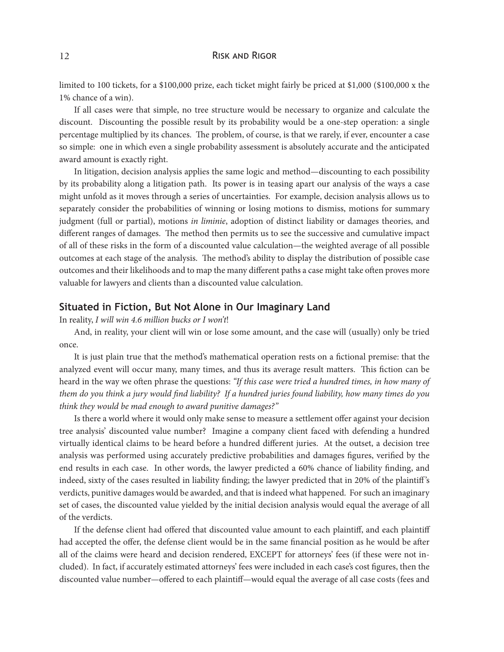#### 12 RISK AND RIGOR

limited to 100 tickets, for a \$100,000 prize, each ticket might fairly be priced at \$1,000 (\$100,000 x the 1% chance of a win).

If all cases were that simple, no tree structure would be necessary to organize and calculate the discount. Discounting the possible result by its probability would be a one-step operation: a single percentage multiplied by its chances. The problem, of course, is that we rarely, if ever, encounter a case so simple: one in which even a single probability assessment is absolutely accurate and the anticipated award amount is exactly right.

In litigation, decision analysis applies the same logic and method—discounting to each possibility by its probability along a litigation path. Its power is in teasing apart our analysis of the ways a case might unfold as it moves through a series of uncertainties. For example, decision analysis allows us to separately consider the probabilities of winning or losing motions to dismiss, motions for summary judgment (full or partial), motions *in liminie*, adoption of distinct liability or damages theories, and different ranges of damages. The method then permits us to see the successive and cumulative impact of all of these risks in the form of a discounted value calculation—the weighted average of all possible outcomes at each stage of the analysis. The method's ability to display the distribution of possible case outcomes and their likelihoods and to map the many different paths a case might take often proves more valuable for lawyers and clients than a discounted value calculation.

### **Situated in Fiction, But Not Alone in Our Imaginary Land**

In reality, *I will win 4.6 million bucks or I won't*!

And, in reality, your client will win or lose some amount, and the case will (usually) only be tried once.

It is just plain true that the method's mathematical operation rests on a fictional premise: that the analyzed event will occur many, many times, and thus its average result matters. This fiction can be heard in the way we often phrase the questions: *"If this case were tried a hundred times, in how many of them do you think a jury would find liability? If a hundred juries found liability, how many times do you think they would be mad enough to award punitive damages?"*

Is there a world where it would only make sense to measure a settlement offer against your decision tree analysis' discounted value number? Imagine a company client faced with defending a hundred virtually identical claims to be heard before a hundred different juries. At the outset, a decision tree analysis was performed using accurately predictive probabilities and damages figures, verified by the end results in each case. In other words, the lawyer predicted a 60% chance of liability finding, and indeed, sixty of the cases resulted in liability finding; the lawyer predicted that in 20% of the plaintiff 's verdicts, punitive damages would be awarded, and that is indeed what happened. For such an imaginary set of cases, the discounted value yielded by the initial decision analysis would equal the average of all of the verdicts.

If the defense client had offered that discounted value amount to each plaintiff, and each plaintiff had accepted the offer, the defense client would be in the same financial position as he would be after all of the claims were heard and decision rendered, EXCEPT for attorneys' fees (if these were not included). In fact, if accurately estimated attorneys' fees were included in each case's cost figures, then the discounted value number—offered to each plaintiff—would equal the average of all case costs (fees and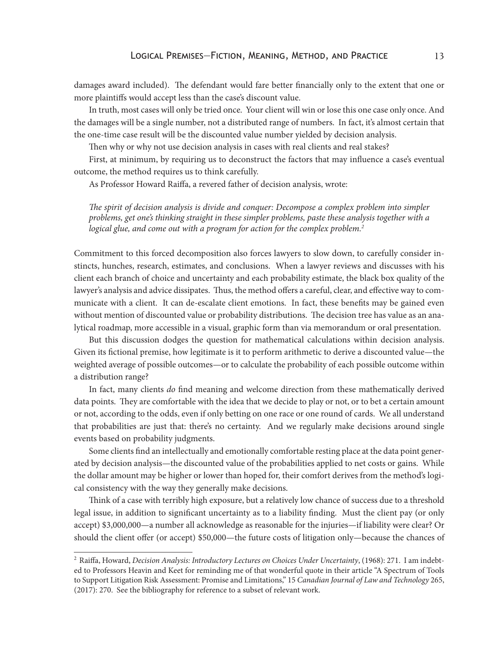damages award included). The defendant would fare better financially only to the extent that one or more plaintiffs would accept less than the case's discount value.

In truth, most cases will only be tried once. Your client will win or lose this one case only once. And the damages will be a single number, not a distributed range of numbers. In fact, it's almost certain that the one-time case result will be the discounted value number yielded by decision analysis.

Then why or why not use decision analysis in cases with real clients and real stakes?

First, at minimum, by requiring us to deconstruct the factors that may influence a case's eventual outcome, the method requires us to think carefully.

As Professor Howard Raiffa, a revered father of decision analysis, wrote:

*The spirit of decision analysis is divide and conquer: Decompose a complex problem into simpler problems, get one's thinking straight in these simpler problems, paste these analysis together with a logical glue, and come out with a program for action for the complex problem.2*

Commitment to this forced decomposition also forces lawyers to slow down, to carefully consider instincts, hunches, research, estimates, and conclusions. When a lawyer reviews and discusses with his client each branch of choice and uncertainty and each probability estimate, the black box quality of the lawyer's analysis and advice dissipates. Thus, the method offers a careful, clear, and effective way to communicate with a client. It can de-escalate client emotions. In fact, these benefits may be gained even without mention of discounted value or probability distributions. The decision tree has value as an analytical roadmap, more accessible in a visual, graphic form than via memorandum or oral presentation.

But this discussion dodges the question for mathematical calculations within decision analysis. Given its fictional premise, how legitimate is it to perform arithmetic to derive a discounted value—the weighted average of possible outcomes—or to calculate the probability of each possible outcome within a distribution range?

In fact, many clients *do* find meaning and welcome direction from these mathematically derived data points. They are comfortable with the idea that we decide to play or not, or to bet a certain amount or not, according to the odds, even if only betting on one race or one round of cards. We all understand that probabilities are just that: there's no certainty. And we regularly make decisions around single events based on probability judgments.

Some clients find an intellectually and emotionally comfortable resting place at the data point generated by decision analysis—the discounted value of the probabilities applied to net costs or gains. While the dollar amount may be higher or lower than hoped for, their comfort derives from the method's logical consistency with the way they generally make decisions.

Think of a case with terribly high exposure, but a relatively low chance of success due to a threshold legal issue, in addition to significant uncertainty as to a liability finding. Must the client pay (or only accept) \$3,000,000—a number all acknowledge as reasonable for the injuries—if liability were clear? Or should the client offer (or accept) \$50,000—the future costs of litigation only—because the chances of

<sup>2</sup> Raiffa, Howard, *Decision Analysis: Introductory Lectures on Choices Under Uncertainty*, (1968): 271. I am indebted to Professors Heavin and Keet for reminding me of that wonderful quote in their article "A Spectrum of Tools to Support Litigation Risk Assessment: Promise and Limitations," 15 *Canadian Journal of Law and Technology* 265, (2017): 270. See the bibliography for reference to a subset of relevant work.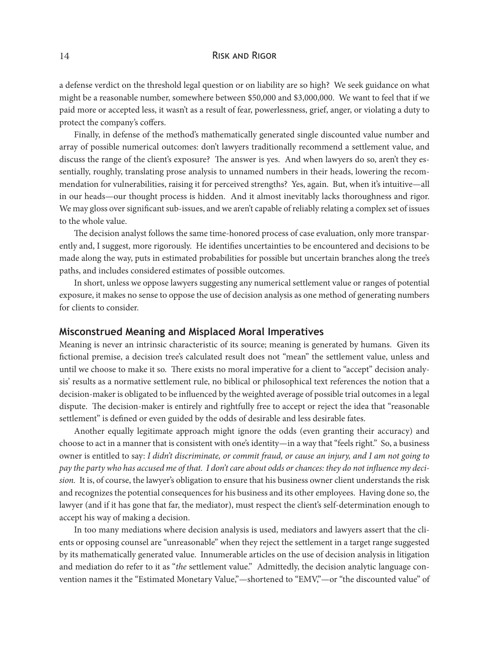#### 14 RISK AND RIGOR

a defense verdict on the threshold legal question or on liability are so high? We seek guidance on what might be a reasonable number, somewhere between \$50,000 and \$3,000,000. We want to feel that if we paid more or accepted less, it wasn't as a result of fear, powerlessness, grief, anger, or violating a duty to protect the company's coffers.

Finally, in defense of the method's mathematically generated single discounted value number and array of possible numerical outcomes: don't lawyers traditionally recommend a settlement value, and discuss the range of the client's exposure? The answer is yes. And when lawyers do so, aren't they essentially, roughly, translating prose analysis to unnamed numbers in their heads, lowering the recommendation for vulnerabilities, raising it for perceived strengths? Yes, again. But, when it's intuitive—all in our heads—our thought process is hidden. And it almost inevitably lacks thoroughness and rigor. We may gloss over significant sub-issues, and we aren't capable of reliably relating a complex set of issues to the whole value.

The decision analyst follows the same time-honored process of case evaluation, only more transparently and, I suggest, more rigorously. He identifies uncertainties to be encountered and decisions to be made along the way, puts in estimated probabilities for possible but uncertain branches along the tree's paths, and includes considered estimates of possible outcomes.

In short, unless we oppose lawyers suggesting any numerical settlement value or ranges of potential exposure, it makes no sense to oppose the use of decision analysis as one method of generating numbers for clients to consider.

#### **Misconstrued Meaning and Misplaced Moral Imperatives**

Meaning is never an intrinsic characteristic of its source; meaning is generated by humans. Given its fictional premise, a decision tree's calculated result does not "mean" the settlement value, unless and until we choose to make it so. There exists no moral imperative for a client to "accept" decision analysis' results as a normative settlement rule, no biblical or philosophical text references the notion that a decision-maker is obligated to be influenced by the weighted average of possible trial outcomes in a legal dispute. The decision-maker is entirely and rightfully free to accept or reject the idea that "reasonable settlement" is defined or even guided by the odds of desirable and less desirable fates.

Another equally legitimate approach might ignore the odds (even granting their accuracy) and choose to act in a manner that is consistent with one's identity—in a way that "feels right." So, a business owner is entitled to say: *I didn't discriminate, or commit fraud, or cause an injury, and I am not going to pay the party who has accused me of that. I don't care about odds or chances: they do not influence my decision.* It is, of course, the lawyer's obligation to ensure that his business owner client understands the risk and recognizes the potential consequences for his business and its other employees. Having done so, the lawyer (and if it has gone that far, the mediator), must respect the client's self-determination enough to accept his way of making a decision.

In too many mediations where decision analysis is used, mediators and lawyers assert that the clients or opposing counsel are "unreasonable" when they reject the settlement in a target range suggested by its mathematically generated value. Innumerable articles on the use of decision analysis in litigation and mediation do refer to it as "*the* settlement value." Admittedly, the decision analytic language convention names it the "Estimated Monetary Value,"—shortened to "EMV,"—or "the discounted value" of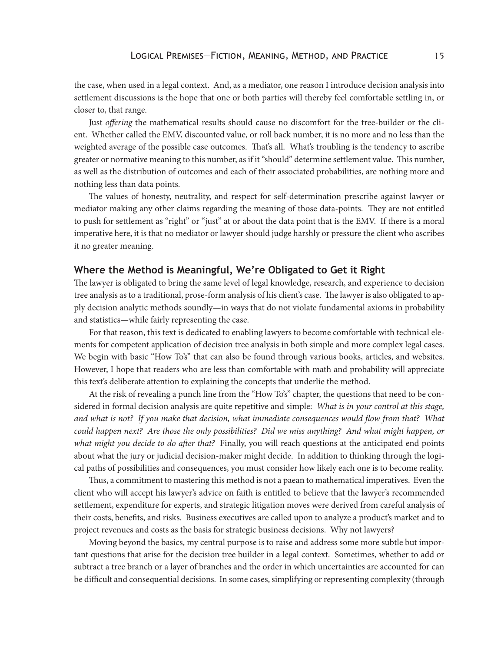the case, when used in a legal context. And, as a mediator, one reason I introduce decision analysis into settlement discussions is the hope that one or both parties will thereby feel comfortable settling in, or closer to, that range.

Just *offering* the mathematical results should cause no discomfort for the tree-builder or the client. Whether called the EMV, discounted value, or roll back number, it is no more and no less than the weighted average of the possible case outcomes. That's all. What's troubling is the tendency to ascribe greater or normative meaning to this number, as if it "should" determine settlement value. This number, as well as the distribution of outcomes and each of their associated probabilities, are nothing more and nothing less than data points.

The values of honesty, neutrality, and respect for self-determination prescribe against lawyer or mediator making any other claims regarding the meaning of those data-points. They are not entitled to push for settlement as "right" or "just" at or about the data point that is the EMV. If there is a moral imperative here, it is that no mediator or lawyer should judge harshly or pressure the client who ascribes it no greater meaning.

## **Where the Method is Meaningful, We're Obligated to Get it Right**

The lawyer is obligated to bring the same level of legal knowledge, research, and experience to decision tree analysis as to a traditional, prose-form analysis of his client's case. The lawyer is also obligated to apply decision analytic methods soundly—in ways that do not violate fundamental axioms in probability and statistics—while fairly representing the case.

For that reason, this text is dedicated to enabling lawyers to become comfortable with technical elements for competent application of decision tree analysis in both simple and more complex legal cases. We begin with basic "How To's" that can also be found through various books, articles, and websites. However, I hope that readers who are less than comfortable with math and probability will appreciate this text's deliberate attention to explaining the concepts that underlie the method.

At the risk of revealing a punch line from the "How To's" chapter, the questions that need to be considered in formal decision analysis are quite repetitive and simple: *What is in your control at this stage, and what is not? If you make that decision, what immediate consequences would flow from that? What could happen next? Are those the only possibilities? Did we miss anything? And what might happen, or what might you decide to do after that?* Finally, you will reach questions at the anticipated end points about what the jury or judicial decision-maker might decide. In addition to thinking through the logical paths of possibilities and consequences, you must consider how likely each one is to become reality.

Thus, a commitment to mastering this method is not a paean to mathematical imperatives. Even the client who will accept his lawyer's advice on faith is entitled to believe that the lawyer's recommended settlement, expenditure for experts, and strategic litigation moves were derived from careful analysis of their costs, benefits, and risks. Business executives are called upon to analyze a product's market and to project revenues and costs as the basis for strategic business decisions. Why not lawyers?

Moving beyond the basics, my central purpose is to raise and address some more subtle but important questions that arise for the decision tree builder in a legal context. Sometimes, whether to add or subtract a tree branch or a layer of branches and the order in which uncertainties are accounted for can be difficult and consequential decisions. In some cases, simplifying or representing complexity (through